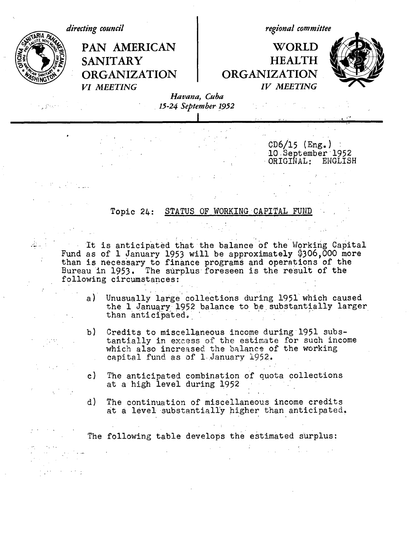

Fund as of 1 January 1953 will be approximately \$306,000 more than is necessary to finance programs and operations of the Bureau in 1953. The surplus foreseen is the result of the following circumstances:

- a) Unusually large collections during 1951 which caused the 1 January 1952 balance to be substantially larger than anticipated.
- b) Credits to miscellaneous income during 1951 substantially in excess of the estimate for such income which also increased the balance of the working capital fund as of 1,January 1952.
- c) The anticipated combination of quota collections at a high level during 1952
- d) The continuation of miscellaneous income credits at a level substantially higher than anticipated,

The following table develops the estimated surplus: